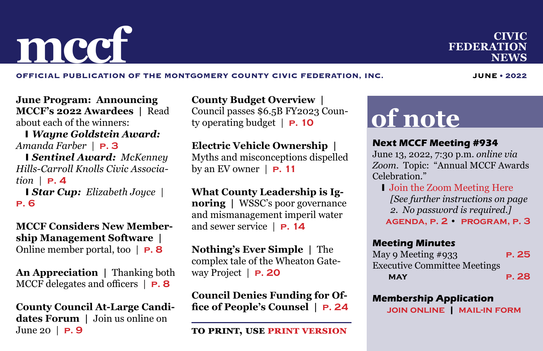OFFICIAL PUBLICATION OF THE MONTGOMERY COUNTY CIVIC FEDERATION, INC. **JUNE • 2022** 

**June Program: Announcing MCCF's 2022 Awardees |** Read about each of the winners:

 y *Wayne Goldstein Award: Amanda Farber* | **[p. 3](#page-2-0)**

**I Sentinel Award: McKenney** *Hills-Carroll Knolls Civic Association* | **[p. 4](#page-3-0)**

*Star Cup: Elizabeth Joyce* **[p. 6](#page-5-0)**

**MCCF Considers New Membership Management Software |**  Online member portal, too | **[p. 8](#page-7-0)**

**An Appreciation |** Thanking both MCCF delegates and officers | **[p. 8](#page-7-0)**

**County Council At-Large Candidates Forum |** Join us online on June 20 | **[p. 9](#page-8-0)**

**County Budget Overview |**  Council passes \$6.5B FY2023 County operating budget | **[p. 10](#page-9-0)**

### **Electric Vehicle Ownership |**

Myths and misconceptions dispelled by an EV owner  $|$  **P.** 11

**What County Leadership is Ignoring |** WSSC's poor governance and mismanagement imperil water and sewer service | **[p. 14](#page-13-0)**

**Nothing's Ever Simple |** The complex tale of the Wheaton Gateway Project | **[p. 20](#page-19-0)**

**Council Denies Funding for Office of People's Counsel | [p. 24](#page-23-0)**

## **of note**

### **Next MCCF Meeting #934**

June 13, 2022, 7:30 p.m. *online via Zoom*. Topic: "Annual MCCF Awards Celebration."

**I** [Join the Zoom Meeting Here](https://us02web.zoom.us/j/87099036057) *[See further instructions on page 2. No password is required.]* **[agenda, p. 2](#page-1-0) • [program, p. 3](#page-2-0)**

#### **Meeting Minutes**

May 9 Meeting #933 **[p. 25](#page-24-0)** Executive Committee Meetings **may [p. 28](#page-27-0)**

### **Membership Application**

**[join online](http://www.montgomerycivic.org/MCCFMembershipApplication1.html) | [mail-in form](http://www.montgomerycivic.org/files/MCCF_Membership_Form.pdf)**

<span id="page-0-0"></span>**m mccf civic rederation reduced** *civic*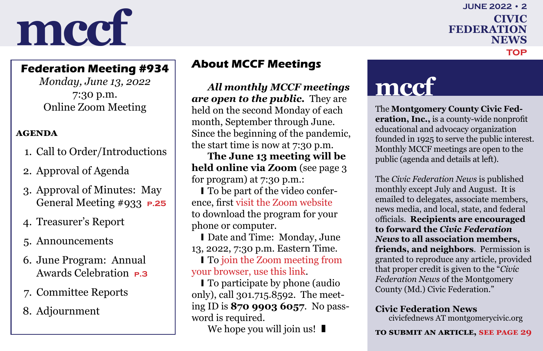### **federation news june 2022 • 2 [top](#page-0-0)**

### <span id="page-1-0"></span>**Federation Meeting #934**

*Monday, June 13, 2022* 7:30 p.m. Online Zoom Meeting

### **agenda**

- 1. Call to Order/Introductions
- 2. Approval of Agenda
- 3. Approval of Minutes: May General Meeting #933 **[p.25](#page-24-0)**
- 4. Treasurer's Report
- 5. Announcements
- 6. June Program: Annual Awards Celebration **[p.3](#page-2-0)**
- 7. Committee Reports
- 8. Adjournment

### **About MCCF Meetings**

*All monthly MCCF meetings are open to the public.* They are held on the second Monday of each month, September through June. Since the beginning of the pandemic, the start time is now at 7:30 p.m.

**The June 13 meeting will be held online via Zoom** (see page 3 for program) at 7:30 p.m.:

I To be part of the video conference, first [visit the Zoom website](https://zoom.us/) to download the program for your phone or computer.

**I** Date and Time: Monday, June 13, 2022, 7:30 p.m. Eastern Time.

I To join the Zoom meeting from [your browser, use this link](https://us02web.zoom.us/j/87099036057).

I To participate by phone (audio) only), call 301.715.8592. The meeting ID is **870 9903 6057**. No password is required.

We hope you will join us!  $\blacksquare$ 

## **mccf**

The **Montgomery County Civic Federation, Inc.,** is a county-wide nonprofit educational and advocacy organization founded in 1925 to serve the public interest. Monthly MCCF meetings are open to the public (agenda and details at left).

The *Civic Federation News* is published monthly except July and August. It is emailed to delegates, associate members, news media, and local, state, and federal officials. **Recipients are encouraged to forward the** *Civic Federation News* **to all association members, friends, and neighbors**. Permission is granted to reproduce any article, provided that proper credit is given to the "*Civic Federation News* of the Montgomery County (Md.) Civic Federation."

#### **Civic Federation News**

civicfednews AT montgomerycivic.org

#### **to submit an article, [see page 29](#page-28-0)**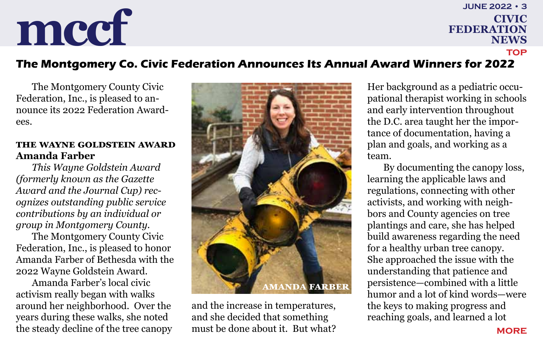### **federation news june 2022 • 3 [top](#page-0-0)**

### <span id="page-2-0"></span>**The Montgomery Co. Civic Federation Announces Its Annual Award Winners for 2022**

The Montgomery County Civic Federation, Inc., is pleased to announce its 2022 Federation Awardees.

### **The Wayne Goldstein Award Amanda Farber**

*This Wayne Goldstein Award (formerly known as the Gazette Award and the Journal Cup) recognizes outstanding public service contributions by an individual or group in Montgomery County.*

The Montgomery County Civic Federation, Inc., is pleased to honor Amanda Farber of Bethesda with the 2022 Wayne Goldstein Award.

Amanda Farber's local civic activism really began with walks around her neighborhood. Over the years during these walks, she noted the steady decline of the tree canopy



and the increase in temperatures, and she decided that something must be done about it. But what? Her background as a pediatric occupational therapist working in schools and early intervention throughout the D.C. area taught her the importance of documentation, having a plan and goals, and working as a team.

By documenting the canopy loss, learning the applicable laws and regulations, connecting with other activists, and working with neighbors and County agencies on tree plantings and care, she has helped build awareness regarding the need for a healthy urban tree canopy. She approached the issue with the understanding that patience and persistence—combined with a little humor and a lot of kind words—were the keys to making progress and reaching goals, and learned a lot

**[more](#page-3-0)**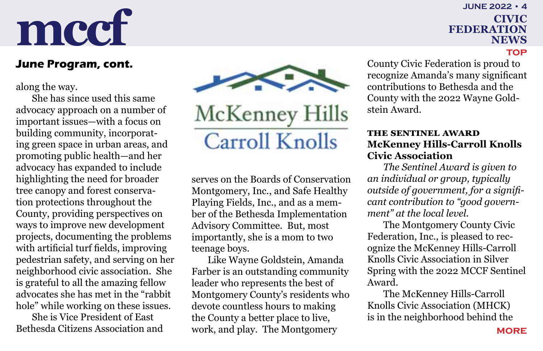### <span id="page-3-0"></span>**June Program, cont.**

along the way.

She has since used this same advocacy approach on a number of important issues—with a focus on building community, incorporating green space in urban areas, and promoting public health—and her advocacy has expanded to include highlighting the need for broader tree canopy and forest conservation protections throughout the County, providing perspectives on ways to improve new development projects, documenting the problems with artificial turf fields, improving pedestrian safety, and serving on her neighborhood civic association. She is grateful to all the amazing fellow advocates she has met in the "rabbit hole" while working on these issues.

She is Vice President of East Bethesda Citizens Association and



McKenney Hills **Carroll Knolls** 

serves on the Boards of Conservation Montgomery, Inc., and Safe Healthy Playing Fields, Inc., and as a member of the Bethesda Implementation Advisory Committee. But, most importantly, she is a mom to two teenage boys.

Like Wayne Goldstein, Amanda Farber is an outstanding community leader who represents the best of Montgomery County's residents who devote countless hours to making the County a better place to live, work, and play. The Montgomery

**federation news june 2022 • 4**

**[top](#page-0-0)**

County Civic Federation is proud to recognize Amanda's many significant contributions to Bethesda and the County with the 2022 Wayne Goldstein Award.

### **The Sentinel Award McKenney Hills-Carroll Knolls Civic Association**

*The Sentinel Award is given to an individual or group, typically outside of government, for a significant contribution to "good government" at the local level.*

The Montgomery County Civic Federation, Inc., is pleased to recognize the McKenney Hills-Carroll Knolls Civic Association in Silver Spring with the 2022 MCCF Sentinel Award.

The McKenney Hills-Carroll Knolls Civic Association (MHCK) is in the neighborhood behind the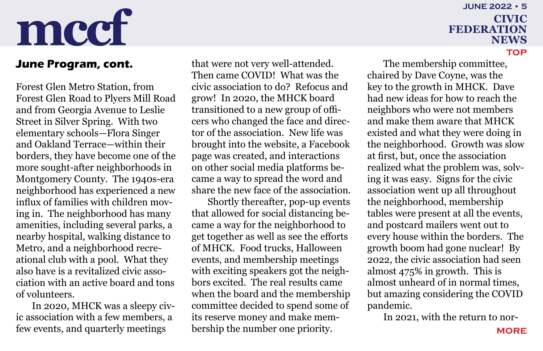## **federation news june 2022 • 5**

### <span id="page-4-0"></span>**June Program, cont.**

Forest Glen Metro Station, from Forest Glen Road to Plyers Mill Road and from Georgia Avenue to Leslie Street in Silver Spring. With two elementary schools—Flora Singer and Oakland Terrace—within their borders, they have become one of the more sought-after neighborhoods in Montgomery County. The 1940s-era neighborhood has experienced a new influx of families with children moving in. The neighborhood has many amenities, including several parks, a nearby hospital, walking distance to Metro, and a neighborhood recreational club with a pool. What they also have is a revitalized civic association with an active board and tons of volunteers.

In 2020, MHCK was a sleepy civic association with a few members, a few events, and quarterly meetings

that were not very well-attended. Then came COVID! What was the civic association to do? Refocus and grow! In 2020, the MHCK board transitioned to a new group of officers who changed the face and director of the association. New life was brought into the website, a Facebook page was created, and interactions on other social media platforms became a way to spread the word and share the new face of the association.

Shortly thereafter, pop-up events that allowed for social distancing became a way for the neighborhood to get together as well as see the efforts of MHCK. Food trucks, Halloween events, and membership meetings with exciting speakers got the neighbors excited. The real results came when the board and the membership committee decided to spend some of its reserve money and make membership the number one priority.

## **[top](#page-0-0)** The membership committee,

chaired by Dave Coyne, was the key to the growth in MHCK. Dave had new ideas for how to reach the neighbors who were not members and make them aware that MHCK existed and what they were doing in the neighborhood. Growth was slow at first, but, once the association realized what the problem was, solving it was easy. Signs for the civic association went up all throughout the neighborhood, membership tables were present at all the events, and postcard mailers went out to every house within the borders. The growth boom had gone nuclear! By 2022, the civic association had seen almost 475% in growth. This is almost unheard of in normal times, but amazing considering the COVID pandemic.

In 2021, with the return to nor-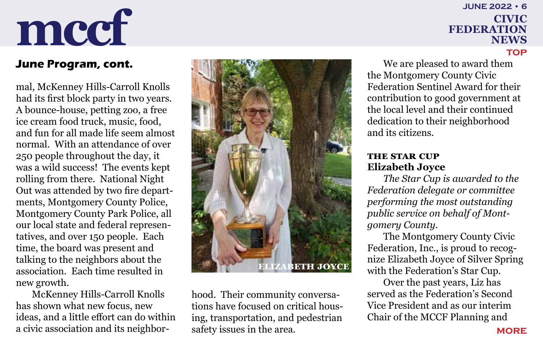## **june 2022 • 6**

# <span id="page-5-0"></span>**mccf civic reduced civic**

### **June Program, cont.**

mal, McKenney Hills-Carroll Knolls had its first block party in two years. A bounce-house, petting zoo, a free ice cream food truck, music, food, and fun for all made life seem almost normal. With an attendance of over 250 people throughout the day, it was a wild success! The events kept rolling from there. National Night Out was attended by two fire departments, Montgomery County Police, Montgomery County Park Police, all our local state and federal representatives, and over 150 people. Each time, the board was present and talking to the neighbors about the association. Each time resulted in new growth.

McKenney Hills-Carroll Knolls has shown what new focus, new ideas, and a little effort can do within a civic association and its neighbor-



hood. Their community conversations have focused on critical housing, transportation, and pedestrian safety issues in the area.

**federation news [top](#page-0-0)** We are pleased to award them

the Montgomery County Civic Federation Sentinel Award for their contribution to good government at the local level and their continued dedication to their neighborhood and its citizens.

### **The Star Cup Elizabeth Joyce**

*The Star Cup is awarded to the Federation delegate or committee performing the most outstanding public service on behalf of Montgomery County.*

The Montgomery County Civic Federation, Inc., is proud to recognize Elizabeth Joyce of Silver Spring with the Federation's Star Cup.

Over the past years, Liz has served as the Federation's Second Vice President and as our interim Chair of the MCCF Planning and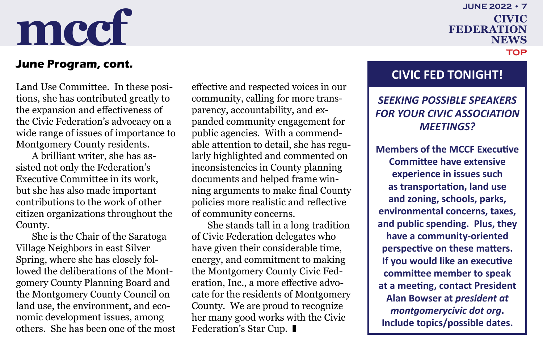**june 2022 • 7**

**federation news**

**[top](#page-0-0)**

# <span id="page-6-0"></span>**mccf civic reduced civic**

### **June Program, cont.**

Land Use Committee. In these positions, she has contributed greatly to the expansion and effectiveness of the Civic Federation's advocacy on a wide range of issues of importance to Montgomery County residents.

A brilliant writer, she has assisted not only the Federation's Executive Committee in its work, but she has also made important contributions to the work of other citizen organizations throughout the County.

She is the Chair of the Saratoga Village Neighbors in east Silver Spring, where she has closely followed the deliberations of the Montgomery County Planning Board and the Montgomery County Council on land use, the environment, and economic development issues, among others. She has been one of the most effective and respected voices in our community, calling for more transparency, accountability, and expanded community engagement for public agencies. With a commendable attention to detail, she has regularly highlighted and commented on inconsistencies in County planning documents and helped frame winning arguments to make final County policies more realistic and reflective of community concerns.

She stands tall in a long tradition of Civic Federation delegates who have given their considerable time, energy, and commitment to making the Montgomery County Civic Federation, Inc., a more effective advocate for the residents of Montgomery County. We are proud to recognize her many good works with the Civic Federation's Star Cup. ■

### **CIVIC FED TONIGHT!**

### *SEEKING POSSIBLE SPEAKERS FOR YOUR CIVIC ASSOCIATION MEETINGS?*

**Members of the MCCF Executive Committee have extensive experience in issues such as transportation, land use and zoning, schools, parks, environmental concerns, taxes, and public spending. Plus, they have a community-oriented perspective on these matters. If you would like an executive committee member to speak at a meeting, contact President Alan Bowser at** *president at montgomerycivic dot org***. Include topics/possible dates.**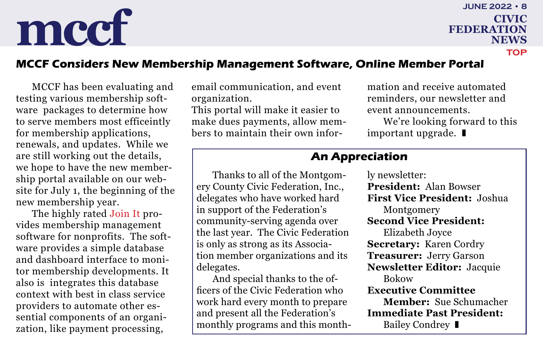**june 2022 • 8**

**[top](#page-0-0)**

**federation news**

### <span id="page-7-0"></span>**MCCF Considers New Membership Management Software, Online Member Portal**

MCCF has been evaluating and testing various membership software packages to determine how to serve members most efficeintly for membership applications, renewals, and updates. While we are still working out the details, we hope to have the new membership portal available on our website for July 1, the beginning of the new membership year.

The highly rated [Join It](https://www.joinit.org/) provides membership management software for nonprofits. The software provides a simple database and dashboard interface to monitor membership developments. It also is integrates this database context with best in class service providers to automate other essential components of an organization, like payment processing,

email communication, and event organization.

This portal will make it easier to make dues payments, allow members to maintain their own information and receive automated reminders, our newsletter and event announcements.

We're looking forward to this important upgrade.  $\blacksquare$ 

### **An Appreciation**

Thanks to all of the Montgomery County Civic Federation, Inc., delegates who have worked hard in support of the Federation's community-serving agenda over the last year. The Civic Federation is only as strong as its Association member organizations and its delegates.

And special thanks to the officers of the Civic Federation who work hard every month to prepare and present all the Federation's monthly programs and this monthly newsletter: **President:** Alan Bowser **First Vice President:** Joshua Montgomery **Second Vice President:** Elizabeth Joyce **Secretary:** Karen Cordry **Treasurer:** Jerry Garson **Newsletter Editor:** Jacquie Bokow **Executive Committee Member:** Sue Schumacher **Immediate Past President:** Bailey Condrey  $\blacksquare$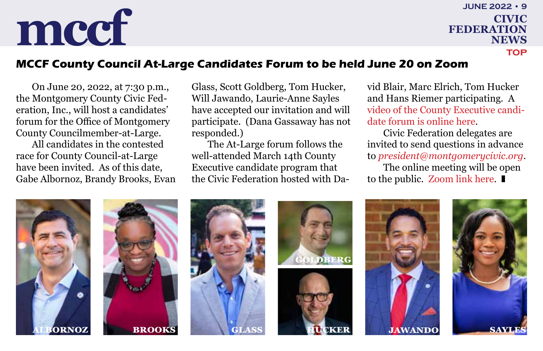## <span id="page-8-0"></span>**mccf civic reduction**

**federation news june 2022 • 9 [top](#page-0-0)**

### **MCCF County Council At-Large Candidates Forum to be held June 20 on Zoom**

On June 20, 2022, at 7:30 p.m., the Montgomery County Civic Federation, Inc., will host a candidates' forum for the Office of Montgomery County Councilmember-at-Large.

All candidates in the contested race for County Council-at-Large have been invited. As of this date, Gabe Albornoz, Brandy Brooks, Evan Glass, Scott Goldberg, Tom Hucker, Will Jawando, Laurie-Anne Sayles have accepted our invitation and will participate. (Dana Gassaway has not responded.)

The At-Large forum follows the well-attended March 14th County Executive candidate program that the Civic Federation hosted with David Blair, Marc Elrich, Tom Hucker and Hans Riemer participating. A [video of the County Executive candi](https://youtu.be/CKZhXRLYWck)[date forum is online here.](https://youtu.be/CKZhXRLYWck)

Civic Federation delegates are invited to send questions in advance to *[president@montgomerycivic.org](mailto:president%40montgomerycivic.org?subject=)*. The online meeting will be open

to the public. [Zoom link here.](https://us02web.zoom.us/j/84929518451)











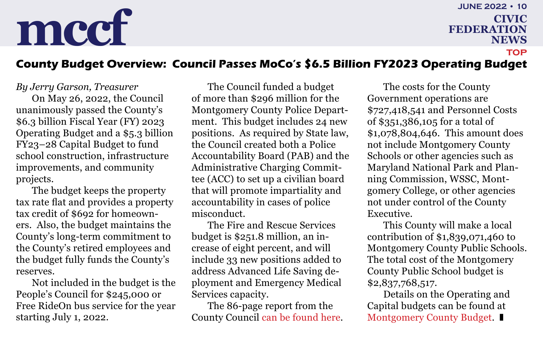**federation news june 2022 • 10 [top](#page-0-0)**

### <span id="page-9-0"></span>**County Budget Overview: Council Passes MoCo's \$6.5 Billion FY2023 Operating Budget**

*By Jerry Garson, Treasurer*

On May 26, 2022, the Council unanimously passed the County's \$6.3 billion Fiscal Year (FY) 2023 Operating Budget and a \$5.3 billion FY23–28 Capital Budget to fund school construction, infrastructure improvements, and community projects.

The budget keeps the property tax rate flat and provides a property tax credit of \$692 for homeowners. Also, the budget maintains the County's long-term commitment to the County's retired employees and the budget fully funds the County's reserves.

Not included in the budget is the People's Council for \$245,000 or Free RideOn bus service for the year starting July 1, 2022.

The Council funded a budget of more than \$296 million for the Montgomery County Police Department. This budget includes 24 new positions. As required by State law, the Council created both a Police Accountability Board (PAB) and the Administrative Charging Committee (ACC) to set up a civilian board that will promote impartiality and accountability in cases of police misconduct.

The Fire and Rescue Services budget is \$251.8 million, an increase of eight percent, and will include 33 new positions added to address Advanced Life Saving deployment and Emergency Medical Services capacity.

The 86-page report from the County Council [can be found here.](https://www.montgomerycountymd.gov/council/Resources/Files/agenda/col/2022/20220526/20220526_3-10.pdf)

The costs for the County Government operations are \$727,418,541 and Personnel Costs of \$351,386,105 for a total of \$1,078,804,646. This amount does not include Montgomery County Schools or other agencies such as Maryland National Park and Planning Commission, WSSC, Montgomery College, or other agencies not under control of the County Executive.

This County will make a local contribution of \$1,839,071,460 to Montgomery County Public Schools. The total cost of the Montgomery County Public School budget is \$2,837,768,517.

Details on the Operating and Capital budgets can be found at [Montgomery County Budget](https://www.montgomerycountymd.gov/omb/).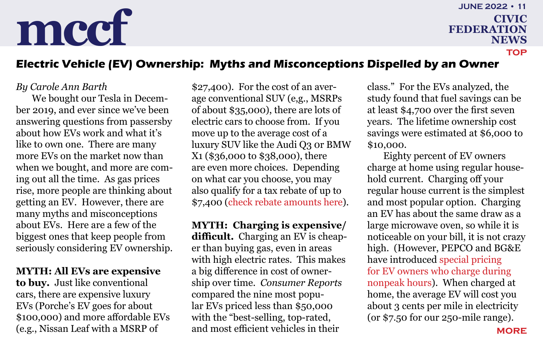**federation news june 2022 • 11 [top](#page-0-0)**

### <span id="page-10-0"></span>**Electric Vehicle (EV) Ownership: Myths and Misconceptions Dispelled by an Owner**

### *By Carole Ann Barth*

We bought our Tesla in December 2019, and ever since we've been answering questions from passersby about how EVs work and what it's like to own one. There are many more EVs on the market now than when we bought, and more are coming out all the time. As gas prices rise, more people are thinking about getting an EV. However, there are many myths and misconceptions about EVs. Here are a few of the biggest ones that keep people from seriously considering EV ownership.

#### **MYTH: All EVs are expensive**

**to buy.** Just like conventional cars, there are expensive luxury EVs (Porche's EV goes for about \$100,000) and more affordable EVs (e.g., Nissan Leaf with a MSRP of

\$27,400). For the cost of an average conventional SUV (e,g., MSRPs of about \$35,000), there are lots of electric cars to choose from. If you move up to the average cost of a luxury SUV like the Audi Q3 0r BMW X1 (\$36,000 to \$38,000), there are even more choices. Depending on what car you choose, you may also qualify for a tax rebate of up to \$7,400 [\(check rebate amounts here](https://www.fueleconomy.gov/feg/taxevb.shtml)).

**MYTH: Charging is expensive/ difficult.** Charging an EV is cheaper than buying gas, even in areas with high electric rates. This makes a big difference in cost of ownership over time. *Consumer Reports* compared the nine most popular EVs priced less than \$50,000 with the "best-selling, top-rated, and most efficient vehicles in their

class." For the EVs analyzed, the study found that fuel savings can be at least \$4,700 over the first seven years. The lifetime ownership cost savings were estimated at \$6,000 to \$10,000.

Eighty percent of EV owners charge at home using regular household current. Charging off your regular house current is the simplest and most popular option. Charging an EV has about the same draw as a large microwave oven, so while it is noticeable on your bill, it is not crazy high. (However, PEPCO and BG&E have introduced [special pricing](https://www.pepco.com/MyAccount/MyBillUsage/Documents/pepco%20md%20tou%20ev.pdf)  [for EV owners who charge during](https://www.pepco.com/MyAccount/MyBillUsage/Documents/pepco%20md%20tou%20ev.pdf)  [nonpeak hours\)](https://www.pepco.com/MyAccount/MyBillUsage/Documents/pepco%20md%20tou%20ev.pdf). When charged at home, the average EV will cost you about 3 cents per mile in electricity (or \$7.50 for our 250-mile range).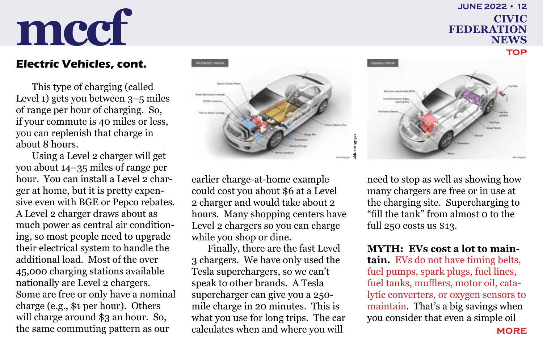## **federation news june 2022 • 12**

## <span id="page-11-0"></span>**mccf civic reDERATION**

### **Electric Vehicles, cont.**

This type of charging (called Level 1) gets you between 3–5 miles of range per hour of charging. So, if your commute is 40 miles or less, you can replenish that charge in about 8 hours.

Using a Level 2 charger will get you about 14–35 miles of range per hour. You can install a Level 2 charger at home, but it is pretty expensive even with BGE or Pepco rebates. A Level 2 charger draws about as much power as central air conditioning, so most people need to upgrade their electrical system to handle the additional load. Most of the over 45,000 charging stations available nationally are Level 2 chargers. Some are free or only have a nominal charge (e.g., \$1 per hour). Others will charge around \$3 an hour. So, the same commuting pattern as our



earlier charge-at-home example could cost you about \$6 at a Level 2 charger and would take about 2 hours. Many shopping centers have Level 2 chargers so you can charge while you shop or dine.

Finally, there are the fast Level 3 chargers. We have only used the Tesla superchargers, so we can't speak to other brands. A Tesla supercharger can give you a 250 mile charge in 20 minutes. This is what you use for long trips. The car calculates when and where you will

need to stop as well as showing how many chargers are free or in use at the charging site. Supercharging to "fill the tank" from almost 0 to the full 250 costs us \$13.

**MYTH: EVs cost a lot to main-**

**tain.** [EVs do not have timing belts,](https://afdc.energy.gov/vehicles/how-do-all-electric-cars-work#:~:text=Because%20it%20runs%20on%20electricity,fuel%20line%2C%20or%20fuel%20tank)  [fuel pumps, spark plugs, fuel lines,](https://afdc.energy.gov/vehicles/how-do-all-electric-cars-work#:~:text=Because%20it%20runs%20on%20electricity,fuel%20line%2C%20or%20fuel%20tank)  [fuel tanks, mufflers, motor oil, cata](https://afdc.energy.gov/vehicles/how-do-all-electric-cars-work#:~:text=Because%20it%20runs%20on%20electricity,fuel%20line%2C%20or%20fuel%20tank)[lytic converters, or oxygen sensors to](https://afdc.energy.gov/vehicles/how-do-all-electric-cars-work#:~:text=Because%20it%20runs%20on%20electricity,fuel%20line%2C%20or%20fuel%20tank)  [maintain](https://afdc.energy.gov/vehicles/how-do-all-electric-cars-work#:~:text=Because%20it%20runs%20on%20electricity,fuel%20line%2C%20or%20fuel%20tank). That's a big savings when you consider that even a simple oil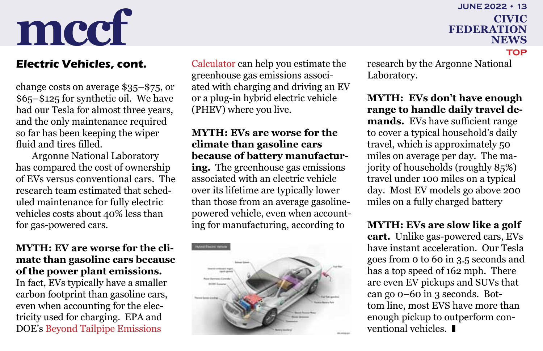## **june 2022 • 13**

**[top](#page-0-0)**

### <span id="page-12-0"></span>**mccf civic reDERATION federation news**

change costs on average \$35–\$75, or \$65–\$125 for synthetic oil. We have had our Tesla for almost three years, and the only maintenance required so far has been keeping the wiper fluid and tires filled.

Argonne National Laboratory has compared the cost of ownership of EVs versus conventional cars. The research team estimated that scheduled maintenance for fully electric vehicles costs about 40% less than for gas-powered cars.

### **MYTH: EV are worse for the climate than gasoline cars because of the power plant emissions.**

In fact, EVs typically have a smaller carbon footprint than gasoline cars, even when accounting for the electricity used for charging. EPA and DOE's [Beyond Tailpipe Emissions](https://www.fueleconomy.gov/feg/Find.do?action=bt2) 

**Electric Vehicles, cont.** [Calculator](https://www.fueleconomy.gov/feg/Find.do?action=bt2) can help you estimate the research by the Argonne National greenhouse gas emissions associated with charging and driving an EV or a plug-in hybrid electric vehicle (PHEV) where you live.

### **MYTH: EVs are worse for the climate than gasoline cars because of battery manufactur-**

**ing.** The greenhouse gas emissions associated with an electric vehicle over its lifetime are typically lower than those from an average gasolinepowered vehicle, even when accounting for manufacturing, according to



Laboratory.

**MYTH: EVs don't have enough range to handle daily travel demands.** EVs have sufficient range to cover a typical household's daily travel, which is approximately 50 miles on average per day. The majority of households (roughly 85%) travel under 100 miles on a typical day. Most EV models go above 200 miles on a fully charged battery

### **MYTH: EVs are slow like a golf**

**cart.** Unlike gas-powered cars, EVs have instant acceleration. Our Tesla goes from 0 to 60 in 3.5 seconds and has a top speed of 162 mph. There are even EV pickups and SUVs that can go 0–60 in 3 seconds. Bottom line, most EVS have more than enough pickup to outperform conventional vehicles.  $\blacksquare$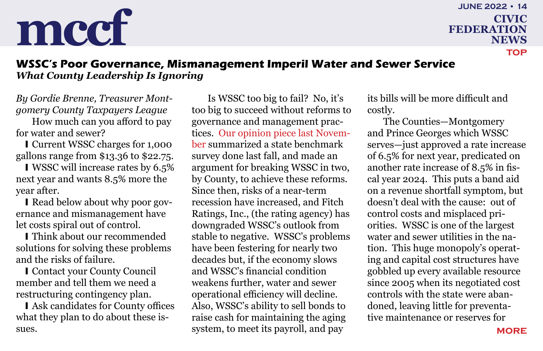### **federation news june 2022 • 14 [top](#page-0-0)**

### <span id="page-13-0"></span>**WSSC's Poor Governance, Mismanagement Imperil Water and Sewer Service** *What County Leadership Is Ignoring*

*By Gordie Brenne, Treasurer Montgomery County Taxpayers League*

How much can you afford to pay for water and sewer?

I Current WSSC charges for 1,000 gallons range from \$13.36 to \$22.75.

I WSSC will increase rates by 6.5% next year and wants 8.5% more the year after.

I Read below about why poor governance and mismanagement have let costs spiral out of control.

I Think about our recommended solutions for solving these problems and the risks of failure.

**I** Contact your County Council member and tell them we need a restructuring contingency plan.

I Ask candidates for County offices what they plan to do about these issues.

Is WSSC too big to fail? No, it's too big to succeed without reforms to governance and management practices. [Our opinion piece last Novem](https://montgomerycivic.org/files/CFN202111.pdf#page=14)[ber](https://montgomerycivic.org/files/CFN202111.pdf#page=14) summarized a state benchmark survey done last fall, and made an argument for breaking WSSC in two, by County, to achieve these reforms. Since then, risks of a near-term recession have increased, and Fitch Ratings, Inc., (the rating agency) has downgraded WSSC's outlook from stable to negative. WSSC's problems have been festering for nearly two decades but, if the economy slows and WSSC's financial condition weakens further, water and sewer operational efficiency will decline. Also, WSSC's ability to sell bonds to raise cash for maintaining the aging system, to meet its payroll, and pay

its bills will be more difficult and costly.

The Counties—Montgomery and Prince Georges which WSSC serves—just approved a rate increase of 6.5% for next year, predicated on another rate increase of 8.5% in fiscal year 2024. This puts a band aid on a revenue shortfall symptom, but doesn't deal with the cause: out of control costs and misplaced priorities. WSSC is one of the largest water and sewer utilities in the nation. This huge monopoly's operating and capital cost structures have gobbled up every available resource since 2005 when its negotiated cost controls with the state were abandoned, leaving little for preventative maintenance or reserves for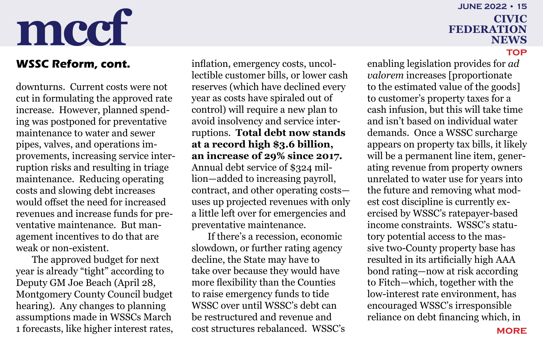### <span id="page-14-0"></span>**WSSC Reform, cont.**

downturns. Current costs were not cut in formulating the approved rate increase. However, planned spending was postponed for preventative maintenance to water and sewer pipes, valves, and operations improvements, increasing service interruption risks and resulting in triage maintenance. Reducing operating costs and slowing debt increases would offset the need for increased revenues and increase funds for preventative maintenance. But management incentives to do that are weak or non-existent.

The approved budget for next year is already "tight" according to Deputy GM Joe Beach (April 28, Montgomery County Council budget hearing). Any changes to planning assumptions made in WSSCs March 1 forecasts, like higher interest rates,

inflation, emergency costs, uncollectible customer bills, or lower cash reserves (which have declined every year as costs have spiraled out of control) will require a new plan to avoid insolvency and service interruptions. **Total debt now stands at a record high \$3.6 billion, an increase of 29% since 2017.** Annual debt service of \$324 million—added to increasing payroll, contract, and other operating costs uses up projected revenues with only a little left over for emergencies and preventative maintenance.

If there's a recession, economic slowdown, or further rating agency decline, the State may have to take over because they would have more flexibility than the Counties to raise emergency funds to tide WSSC over until WSSC's debt can be restructured and revenue and cost structures rebalanced. WSSC's

## **june 2022 • 15**

**federation news**

#### **[top](#page-0-0)**

enabling legislation provides for *ad valorem* increases [proportionate to the estimated value of the goods] to customer's property taxes for a cash infusion, but this will take time and isn't based on individual water demands. Once a WSSC surcharge appears on property tax bills, it likely will be a permanent line item, generating revenue from property owners unrelated to water use for years into the future and removing what modest cost discipline is currently exercised by WSSC's ratepayer-based income constraints. WSSC's statutory potential access to the massive two-County property base has resulted in its artificially high AAA bond rating—now at risk according to Fitch—which, together with the low-interest rate environment, has encouraged WSSC's irresponsible reliance on debt financing which, in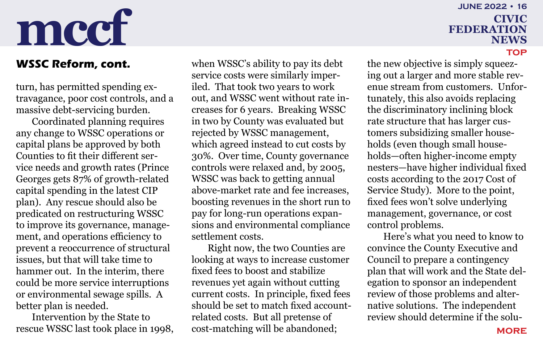### <span id="page-15-0"></span>**WSSC Reform, cont.**

turn, has permitted spending extravagance, poor cost controls, and a massive debt-servicing burden.

Coordinated planning requires any change to WSSC operations or capital plans be approved by both Counties to fit their different service needs and growth rates (Prince Georges gets 87% of growth-related capital spending in the latest CIP plan). Any rescue should also be predicated on restructuring WSSC to improve its governance, management, and operations efficiency to prevent a reoccurrence of structural issues, but that will take time to hammer out. In the interim, there could be more service interruptions or environmental sewage spills. A better plan is needed.

Intervention by the State to rescue WSSC last took place in 1998, when WSSC's ability to pay its debt service costs were similarly imperiled. That took two years to work out, and WSSC went without rate increases for 6 years. Breaking WSSC in two by County was evaluated but rejected by WSSC management, which agreed instead to cut costs by 30%. Over time, County governance controls were relaxed and, by 2005, WSSC was back to getting annual above-market rate and fee increases, boosting revenues in the short run to pay for long-run operations expansions and environmental compliance settlement costs.

Right now, the two Counties are looking at ways to increase customer fixed fees to boost and stabilize revenues yet again without cutting current costs. In principle, fixed fees should be set to match fixed accountrelated costs. But all pretense of cost-matching will be abandoned;

### **federation news june 2022 • 16**

**[top](#page-0-0)**

the new objective is simply squeezing out a larger and more stable revenue stream from customers. Unfortunately, this also avoids replacing the discriminatory inclining block rate structure that has larger customers subsidizing smaller households (even though small households—often higher-income empty nesters—have higher individual fixed costs according to the 2017 Cost of Service Study). More to the point, fixed fees won't solve underlying management, governance, or cost control problems.

Here's what you need to know to convince the County Executive and Council to prepare a contingency plan that will work and the State delegation to sponsor an independent review of those problems and alternative solutions. The independent review should determine if the solu-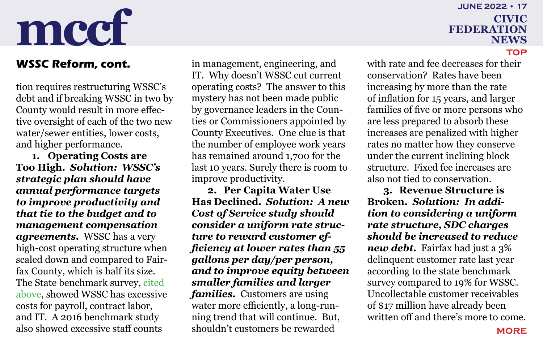### <span id="page-16-0"></span>**WSSC Reform, cont.**

tion requires restructuring WSSC's debt and if breaking WSSC in two by County would result in more effective oversight of each of the two new water/sewer entities, lower costs, and higher performance.

**1. Operating Costs are Too High.** *Solution: WSSC's strategic plan should have annual performance targets to improve productivity and that tie to the budget and to management compensation agreements.* WSSC has a very high-cost operating structure when scaled down and compared to Fairfax County, which is half its size. The State benchmark survey, cited above, showed WSSC has excessive costs for payroll, contract labor, and IT. A 2016 benchmark study also showed excessive staff counts

in management, engineering, and IT. Why doesn't WSSC cut current operating costs? The answer to this mystery has not been made public by governance leaders in the Counties or Commissioners appointed by County Executives. One clue is that the number of employee work years has remained around 1,700 for the last 10 years. Surely there is room to improve productivity.

**2. Per Capita Water Use Has Declined.** *Solution: A new Cost of Service study should consider a uniform rate structure to reward customer efficiency at lower rates than 55 gallons per day/per person, and to improve equity between smaller families and larger families.* Customers are using water more efficiently, a long-running trend that will continue. But, shouldn't customers be rewarded

## **federation news june 2022 • 17**

**[top](#page-0-0)**

with rate and fee decreases for their conservation? Rates have been increasing by more than the rate of inflation for 15 years, and larger families of five or more persons who are less prepared to absorb these increases are penalized with higher rates no matter how they conserve under the current inclining block structure. Fixed fee increases are also not tied to conservation.

**3. Revenue Structure is Broken.** *Solution: In addition to considering a uniform rate structure, SDC charges should be increased to reduce new debt.* Fairfax had just a 3% delinquent customer rate last year according to the state benchmark survey compared to 19% for WSSC. Uncollectable customer receivables of \$17 million have already been written off and there's more to come.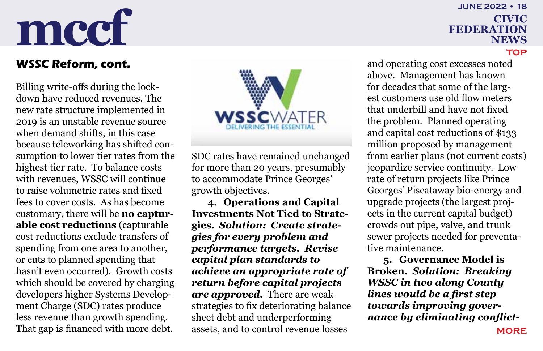## **federation news june 2022 • 18**

### <span id="page-17-0"></span>**WSSC Reform, cont.**

Billing write-offs during the lockdown have reduced revenues. The new rate structure implemented in 2019 is an unstable revenue source when demand shifts, in this case because teleworking has shifted consumption to lower tier rates from the highest tier rate. To balance costs with revenues, WSSC will continue to raise volumetric rates and fixed fees to cover costs. As has become customary, there will be **no capturable cost reductions** (capturable cost reductions exclude transfers of spending from one area to another, or cuts to planned spending that hasn't even occurred). Growth costs which should be covered by charging developers higher Systems Development Charge (SDC) rates produce less revenue than growth spending. That gap is financed with more debt.



SDC rates have remained unchanged for more than 20 years, presumably to accommodate Prince Georges' growth objectives.

**4. Operations and Capital Investments Not Tied to Strategies.** *Solution: Create strategies for every problem and performance targets. Revise capital plan standards to achieve an appropriate rate of return before capital projects are approved.* There are weak strategies to fix deteriorating balance sheet debt and underperforming assets, and to control revenue losses

and operating cost excesses noted above. Management has known for decades that some of the largest customers use old flow meters that underbill and have not fixed the problem. Planned operating and capital cost reductions of \$133 million proposed by management from earlier plans (not current costs) jeopardize service continuity. Low rate of return projects like Prince Georges' Piscataway bio-energy and upgrade projects (the largest projects in the current capital budget) crowds out pipe, valve, and trunk sewer projects needed for preventative maintenance.

**5. Governance Model is Broken.** *Solution: Breaking WSSC in two along County lines would be a first step towards improving governance by eliminating conflict-*

#### **[top](#page-0-0)**

**[more](#page-18-0)**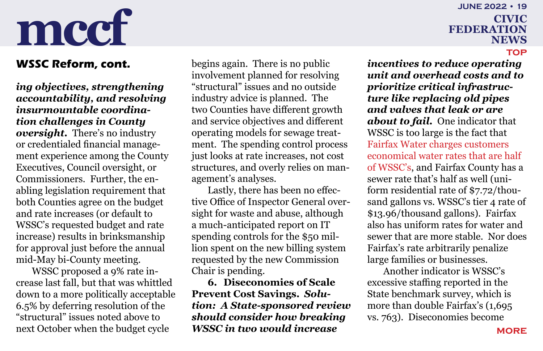### <span id="page-18-0"></span>**WSSC Reform, cont.**

*ing objectives, strengthening accountability, and resolving insurmountable coordination challenges in County oversight.* There's no industry or credentialed financial management experience among the County Executives, Council oversight, or Commissioners. Further, the enabling legislation requirement that both Counties agree on the budget and rate increases (or default to WSSC's requested budget and rate increase) results in brinksmanship for approval just before the annual mid-May bi-County meeting.

WSSC proposed a 9% rate increase last fall, but that was whittled down to a more politically acceptable 6.5% by deferring resolution of the "structural" issues noted above to next October when the budget cycle

begins again. There is no public involvement planned for resolving "structural" issues and no outside industry advice is planned. The two Counties have different growth and service objectives and different operating models for sewage treatment. The spending control process just looks at rate increases, not cost structures, and overly relies on management's analyses.

Lastly, there has been no effective Office of Inspector General oversight for waste and abuse, although a much-anticipated report on IT spending controls for the \$50 million spent on the new billing system requested by the new Commission Chair is pending.

**6. Diseconomies of Scale Prevent Cost Savings.** *Solution: A State-sponsored review should consider how breaking WSSC in two would increase* 

## **june 2022 • 19**

## **federation news**

#### **[top](#page-0-0)**

*incentives to reduce operating unit and overhead costs and to prioritize critical infrastructure like replacing old pipes and valves that leak or are about to fail.* One indicator that WSSC is too large is the fact that [Fairfax Water charges customers](https://www.fairfaxwater.org/sites/default/files/customer_service/Rate%20Comparison%20Chart%202021.pdf)  [economical water rates that are half](https://www.fairfaxwater.org/sites/default/files/customer_service/Rate%20Comparison%20Chart%202021.pdf)  [of WSSC's,](https://www.fairfaxwater.org/sites/default/files/customer_service/Rate%20Comparison%20Chart%202021.pdf) and Fairfax County has a sewer rate that's half as well (uniform residential rate of \$7.72/thousand gallons vs. WSSC's tier 4 rate of \$13.96/thousand gallons). Fairfax also has uniform rates for water and sewer that are more stable. Nor does Fairfax's rate arbitrarily penalize large families or businesses.

Another indicator is WSSC's excessive staffing reported in the State benchmark survey, which is more than double Fairfax's (1,695 vs. 763). Diseconomies become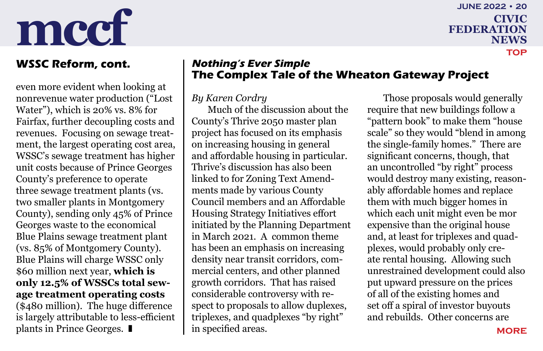even more evident when looking at nonrevenue water production ("Lost Water"), which is 20% vs. 8% for Fairfax, further decoupling costs and revenues. Focusing on sewage treatment, the largest operating cost area, WSSC's sewage treatment has higher unit costs because of Prince Georges County's preference to operate three sewage treatment plants (vs. two smaller plants in Montgomery County), sending only 45% of Prince Georges waste to the economical Blue Plains sewage treatment plant (vs. 85% of Montgomery County). Blue Plains will charge WSSC only \$60 million next year, **which is only 12.5% of WSSCs total sewage treatment operating costs** (\$480 million). The huge difference is largely attributable to less-efficient plants in Prince Georges.  $\blacksquare$ 

### <span id="page-19-0"></span>**WSSC Reform, cont.** | Nothing's Ever Simple **The Complex Tale of the Wheaton Gateway Project**

### *By Karen Cordry*

Much of the discussion about the County's Thrive 2050 master plan project has focused on its emphasis on increasing housing in general and affordable housing in particular. Thrive's discussion has also been linked to for Zoning Text Amendments made by various County Council members and an Affordable Housing Strategy Initiatives effort initiated by the Planning Department in March 2021. A common theme has been an emphasis on increasing density near transit corridors, commercial centers, and other planned growth corridors. That has raised considerable controversy with respect to proposals to allow duplexes, triplexes, and quadplexes "by right" in specified areas.

Those proposals would generally require that new buildings follow a "pattern book" to make them "house scale" so they would "blend in among the single-family homes." There are significant concerns, though, that an uncontrolled "by right" process would destroy many existing, reasonably affordable homes and replace them with much bigger homes in which each unit might even be mor expensive than the original house and, at least for triplexes and quadplexes, would probably only create rental housing. Allowing such unrestrained development could also put upward pressure on the prices of all of the existing homes and set off a spiral of investor buyouts and rebuilds. Other concerns are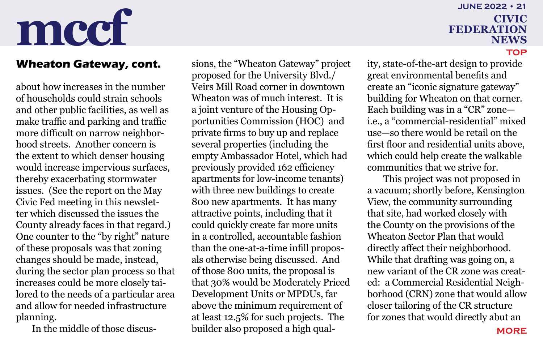### <span id="page-20-0"></span>**Wheaton Gateway, cont.**

about how increases in the number of households could strain schools and other public facilities, as well as make traffic and parking and traffic more difficult on narrow neighborhood streets. Another concern is the extent to which denser housing would increase impervious surfaces, thereby exacerbating stormwater issues. (See the report on the May Civic Fed meeting in this newsletter which discussed the issues the County already faces in that regard.) One counter to the "by right" nature of these proposals was that zoning changes should be made, instead, during the sector plan process so that increases could be more closely tailored to the needs of a particular area and allow for needed infrastructure planning.

In the middle of those discus-

sions, the "Wheaton Gateway" project proposed for the University Blvd./ Veirs Mill Road corner in downtown Wheaton was of much interest. It is a joint venture of the Housing Opportunities Commission (HOC) and private firms to buy up and replace several properties (including the empty Ambassador Hotel, which had previously provided 162 efficiency apartments for low-income tenants) with three new buildings to create 800 new apartments. It has many attractive points, including that it could quickly create far more units in a controlled, accountable fashion than the one-at-a-time infill proposals otherwise being discussed. And of those 800 units, the proposal is that 30% would be Moderately Priced Development Units or MPDUs, far above the minimum requirement of at least 12.5% for such projects. The builder also proposed a high qual-

## **june 2022 • 21**

## **federation news**

#### **[top](#page-0-0)**

ity, state-of-the-art design to provide great environmental benefits and create an "iconic signature gateway" building for Wheaton on that corner. Each building was in a "CR" zone i.e., a "commercial-residential" mixed use—so there would be retail on the first floor and residential units above, which could help create the walkable communities that we strive for.

This project was not proposed in a vacuum; shortly before, Kensington View, the community surrounding that site, had worked closely with the County on the provisions of the Wheaton Sector Plan that would directly affect their neighborhood. While that drafting was going on, a new variant of the CR zone was created: a Commercial Residential Neighborhood (CRN) zone that would allow closer tailoring of the CR structure for zones that would directly abut an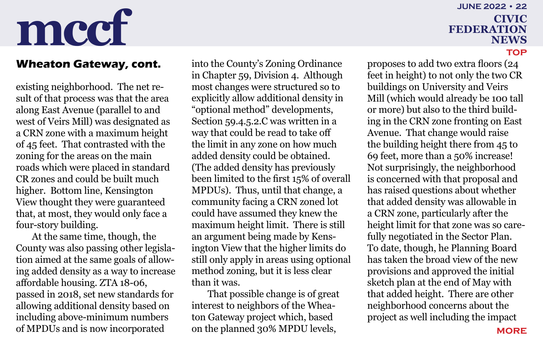### **federation news june 2022 • 22**

### <span id="page-21-0"></span>**Wheaton Gateway, cont.**

existing neighborhood. The net result of that process was that the area along East Avenue (parallel to and west of Veirs Mill) was designated as a CRN zone with a maximum height of 45 feet. That contrasted with the zoning for the areas on the main roads which were placed in standard CR zones and could be built much higher. Bottom line, Kensington View thought they were guaranteed that, at most, they would only face a four-story building.

At the same time, though, the County was also passing other legislation aimed at the same goals of allowing added density as a way to increase affordable housing. ZTA 18-06, passed in 2018, set new standards for allowing additional density based on including above-minimum numbers of MPDUs and is now incorporated

into the County's Zoning Ordinance in Chapter 59, Division 4. Although most changes were structured so to explicitly allow additional density in "optional method" developments, Section 59.4.5.2.C was written in a way that could be read to take off the limit in any zone on how much added density could be obtained. (The added density has previously been limited to the first 15% of overall MPDUs). Thus, until that change, a community facing a CRN zoned lot could have assumed they knew the maximum height limit. There is still an argument being made by Kensington View that the higher limits do still only apply in areas using optional method zoning, but it is less clear than it was.

That possible change is of great interest to neighbors of the Wheaton Gateway project which, based on the planned 30% MPDU levels,

proposes to add two extra floors (24 feet in height) to not only the two CR buildings on University and Veirs Mill (which would already be 100 tall or more) but also to the third building in the CRN zone fronting on East Avenue. That change would raise the building height there from 45 to 69 feet, more than a 50% increase! Not surprisingly, the neighborhood is concerned with that proposal and has raised questions about whether that added density was allowable in a CRN zone, particularly after the height limit for that zone was so carefully negotiated in the Sector Plan. To date, though, he Planning Board has taken the broad view of the new provisions and approved the initial sketch plan at the end of May with that added height. There are other neighborhood concerns about the project as well including the impact

#### **[top](#page-0-0)**

**[more](#page-22-0)**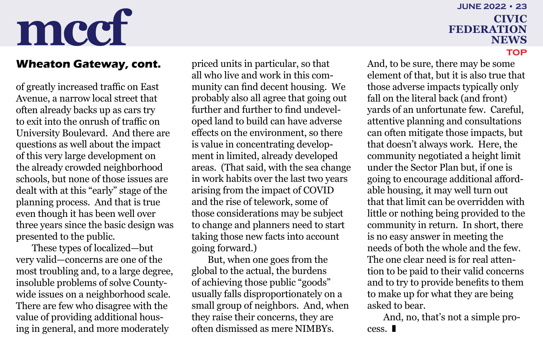### <span id="page-22-0"></span>**Wheaton Gateway, cont.**

of greatly increased traffic on East Avenue, a narrow local street that often already backs up as cars try to exit into the onrush of traffic on University Boulevard. And there are questions as well about the impact of this very large development on the already crowded neighborhood schools, but none of those issues are dealt with at this "early" stage of the planning process. And that is true even though it has been well over three years since the basic design was presented to the public.

These types of localized—but very valid—concerns are one of the most troubling and, to a large degree, insoluble problems of solve Countywide issues on a neighborhood scale. There are few who disagree with the value of providing additional housing in general, and more moderately

priced units in particular, so that all who live and work in this community can find decent housing. We probably also all agree that going out further and further to find undeveloped land to build can have adverse effects on the environment, so there is value in concentrating development in limited, already developed areas. (That said, with the sea change in work habits over the last two years arising from the impact of COVID and the rise of telework, some of those considerations may be subject to change and planners need to start taking those new facts into account going forward.)

But, when one goes from the global to the actual, the burdens of achieving those public "goods" usually falls disproportionately on a small group of neighbors. And, when they raise their concerns, they are often dismissed as mere NIMBYs.

### **federation news june 2022 • 23**

**[top](#page-0-0)**

### And, to be sure, there may be some element of that, but it is also true that those adverse impacts typically only fall on the literal back (and front) yards of an unfortunate few. Careful, attentive planning and consultations can often mitigate those impacts, but that doesn't always work. Here, the community negotiated a height limit under the Sector Plan but, if one is going to encourage additional affordable housing, it may well turn out that that limit can be overridden with little or nothing being provided to the community in return. In short, there is no easy answer in meeting the needs of both the whole and the few. The one clear need is for real attention to be paid to their valid concerns and to try to provide benefits to them to make up for what they are being asked to bear.

And, no, that's not a simple process.  $\blacksquare$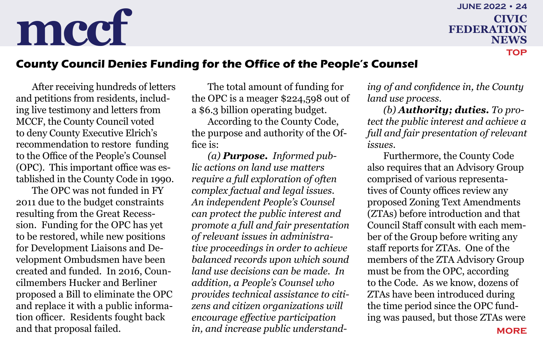### <span id="page-23-0"></span>**mccf civic reDERATION federation news june 2022 • 24**

**[top](#page-0-0)**

### **County Council Denies Funding for the Office of the People's Counsel**

After receiving hundreds of letters and petitions from residents, including live testimony and letters from MCCF, the County Council voted to deny County Executive Elrich's recommendation to restore funding to the Office of the People's Counsel (OPC). This important office was established in the County Code in 1990.

The OPC was not funded in FY 2011 due to the budget constraints resulting from the Great Recesssion. Funding for the OPC has yet to be restored, while new positions for Development Liaisons and Development Ombudsmen have been created and funded. In 2016, Councilmembers Hucker and Berliner proposed a Bill to eliminate the OPC and replace it with a public information officer. Residents fought back and that proposal failed.

The total amount of funding for the OPC is a meager \$224,598 out of a \$6.3 billion operating budget.

According to the County Code, the purpose and authority of the Office is:

*(a) Purpose. Informed public actions on land use matters require a full exploration of often complex factual and legal issues. An independent People's Counsel can protect the public interest and promote a full and fair presentation of relevant issues in administrative proceedings in order to achieve balanced records upon which sound land use decisions can be made. In addition, a People's Counsel who provides technical assistance to citizens and citizen organizations will encourage effective participation in, and increase public understand-* *ing of and confidence in, the County land use process.*

*(b) Authority; duties. To protect the public interest and achieve a full and fair presentation of relevant issues.*

Furthermore, the County Code also requires that an Advisory Group comprised of various representatives of County offices review any proposed Zoning Text Amendments (ZTAs) before introduction and that Council Staff consult with each member of the Group before writing any staff reports for ZTAs. One of the members of the ZTA Advisory Group must be from the OPC, according to the Code. As we know, dozens of ZTAs have been introduced during the time period since the OPC funding was paused, but those ZTAs were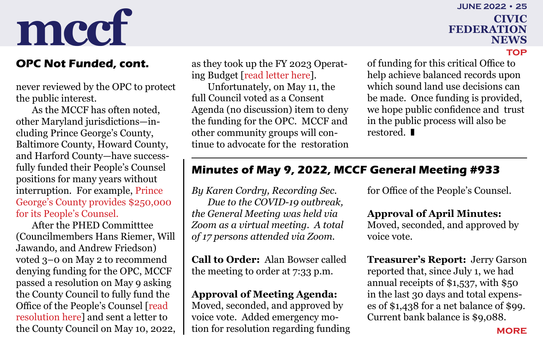## **federation june 2022 • 25**

**news**

**[top](#page-0-0)**

never reviewed by the OPC to protect the public interest.

As the MCCF has often noted, other Maryland jurisdictions—including Prince George's County, Baltimore County, Howard County, and Harford County—have successfully funded their People's Counsel positions for many years without interruption. For example, [Prince](https://www.princegeorgescountymd.gov/DocumentCenter/View/40389/Peoples-Zoning-Counsel)  [George's County provides \\$250,000](https://www.princegeorgescountymd.gov/DocumentCenter/View/40389/Peoples-Zoning-Counsel)  [for its People's Counsel.](https://www.princegeorgescountymd.gov/DocumentCenter/View/40389/Peoples-Zoning-Counsel)

After the PHED Committtee (Councilmembers Hans Riemer, Will Jawando, and Andrew Friedson) voted 3–0 on May 2 to recommend denying funding for the OPC, MCCF passed a resolution on May 9 asking the County Council to fully fund the Office of the People's Counsel [[read](http://www.montgomerycivic.org/files/20220509-MCCF-Resolution-OPC.pdf)  [resolution here\]](http://www.montgomerycivic.org/files/20220509-MCCF-Resolution-OPC.pdf) and sent a letter to the County Council on May 10, 2022,

<span id="page-24-0"></span>as they took up the FY 2023 Operating Budget [\[read letter here\]](http://www.montgomerycivic.org/files/20220510-MCCF-Letter-to-MoCo-CC-on-OPC-Funding.pdf). **OPC Not Funded, cont.** as they took up the FY 2023 Operat- of funding for this critical Office to

> Unfortunately, on May 11, the full Council voted as a Consent Agenda (no discussion) item to deny the funding for the OPC. MCCF and other community groups will continue to advocate for the restoration

help achieve balanced records upon which sound land use decisions can be made. Once funding is provided, we hope public confidence and trust in the public process will also be restored.  $\blacksquare$ 

### **Minutes of May 9, 2022, MCCF General Meeting #933**

*By Karen Cordry, Recording Sec. Due to the COVID-19 outbreak, the General Meeting was held via Zoom as a virtual meeting. A total of 17 persons attended via Zoom.*

**Call to Order:** Alan Bowser called the meeting to order at 7:33 p.m.

### **Approval of Meeting Agenda:**

Moved, seconded, and approved by voice vote. Added emergency motion for resolution regarding funding for Office of the People's Counsel.

### **Approval of April Minutes:**

Moved, seconded, and approved by voice vote.

**Treasurer's Report:** Jerry Garson reported that, since July 1, we had annual receipts of \$1,537, with \$50 in the last 30 days and total expenses of \$1,438 for a net balance of \$99. Current bank balance is \$9,088.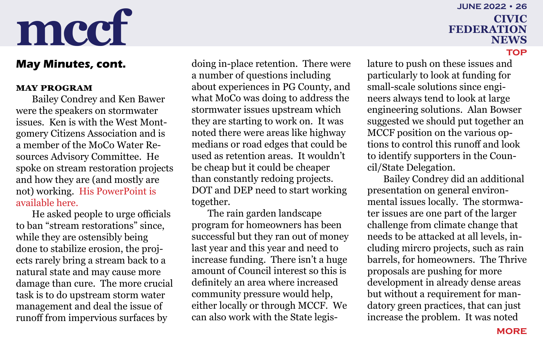### <span id="page-25-0"></span>**May Minutes, cont.**

#### **MAY PROGRAM**

Bailey Condrey and Ken Bawer were the speakers on stormwater issues. Ken is with the West Montgomery Citizens Association and is a member of the MoCo Water Resources Advisory Committee. He spoke on stream restoration projects and how they are (and mostly are not) working. [His PowerPoint is](http://www.montgomerycivic.org/files/KBawer-Stream-Restorations-Inconvenient-Truth_20220511_mccf.pptx)  [available here.](http://www.montgomerycivic.org/files/KBawer-Stream-Restorations-Inconvenient-Truth_20220511_mccf.pptx)

He asked people to urge officials to ban "stream restorations" since, while they are ostensibly being done to stabilize erosion, the projects rarely bring a stream back to a natural state and may cause more damage than cure. The more crucial task is to do upstream storm water management and deal the issue of runoff from impervious surfaces by

doing in-place retention. There were a number of questions including about experiences in PG County, and what MoCo was doing to address the stormwater issues upstream which they are starting to work on. It was noted there were areas like highway medians or road edges that could be used as retention areas. It wouldn't be cheap but it could be cheaper than constantly redoing projects. DOT and DEP need to start working together.

The rain garden landscape program for homeowners has been successful but they ran out of money last year and this year and need to increase funding. There isn't a huge amount of Council interest so this is definitely an area where increased community pressure would help, either locally or through MCCF. We can also work with the State legis-

## **federation news june 2022 • 26**

**[top](#page-0-0)**

lature to push on these issues and particularly to look at funding for small-scale solutions since engineers always tend to look at large engineering solutions. Alan Bowser suggested we should put together an MCCF position on the various options to control this runoff and look to identify supporters in the Council/State Delegation.

Bailey Condrey did an additional presentation on general environmental issues locally. The stormwater issues are one part of the larger challenge from climate change that needs to be attacked at all levels, including mircro projects, such as rain barrels, for homeowners. The Thrive proposals are pushing for more development in already dense areas but without a requirement for mandatory green practices, that can just increase the problem. It was noted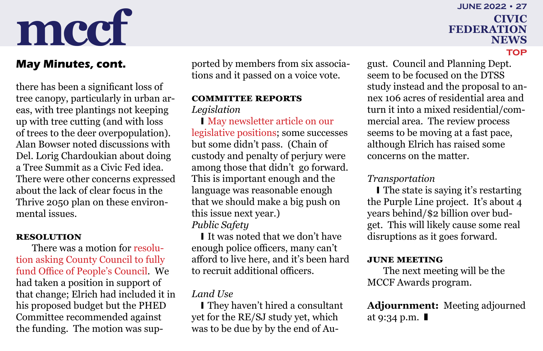there has been a significant loss of tree canopy, particularly in urban areas, with tree plantings not keeping up with tree cutting (and with loss of trees to the deer overpopulation). Alan Bowser noted discussions with Del. Lorig Chardoukian about doing a Tree Summit as a Civic Fed idea. There were other concerns expressed about the lack of clear focus in the Thrive 2050 plan on these environmental issues.

#### **RESOLUTION**

There was a motion for [resolu](http://www.montgomerycivic.org/files/20220509-MCCF-Resolution-OPC.pdf)[tion asking County Council to fully](http://www.montgomerycivic.org/files/20220509-MCCF-Resolution-OPC.pdf)  [fund Office of People's Council](http://www.montgomerycivic.org/files/20220509-MCCF-Resolution-OPC.pdf). We had taken a position in support of that change; Elrich had included it in his proposed budget but the PHED Committee recommended against the funding. The motion was sup-

<span id="page-26-0"></span>ported by members from six associations and it passed on a voice vote. **May Minutes, cont.** ported by members from six associa- gust. Council and Planning Dept.

#### **COMMITTEE REPORTS** *Legislation*

I May newsletter article on our [legislative positions;](http://www.montgomerycivic.org/files/CFN202205.pdf#page=6) some successes but some didn't pass. (Chain of custody and penalty of perjury were among those that didn't go forward. This is important enough and the language was reasonable enough that we should make a big push on this issue next year.) *Public Safety*

I It was noted that we don't have enough police officers, many can't afford to live here, and it's been hard to recruit additional officers.

### *Land Use*

I They haven't hired a consultant yet for the RE/SJ study yet, which was to be due by by the end of Auseem to be focused on the DTSS study instead and the proposal to annex 106 acres of residential area and turn it into a mixed residential/commercial area. The review process seems to be moving at a fast pace, although Elrich has raised some concerns on the matter.

#### *Transportation*

I The state is saying it's restarting the Purple Line project. It's about 4 years behind/\$2 billion over budget. This will likely cause some real disruptions as it goes forward.

#### **June Meeting**

The next meeting will be the MCCF Awards program.

**Adjournment:** Meeting adjourned at 9:34 p.m.  $\blacksquare$ 

#### **june 2022 • 27**

## **federation news**

**[top](#page-0-0)**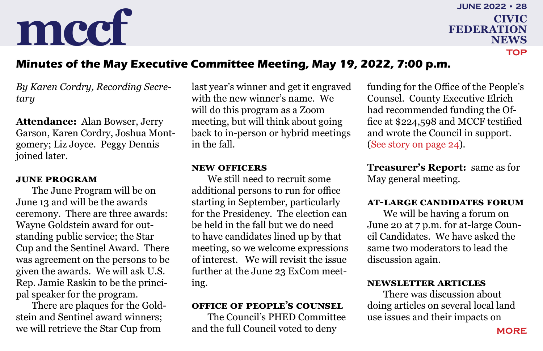**federation news june 2022 • 28 [top](#page-0-0)**

### <span id="page-27-0"></span>**Minutes of the May Executive Committee Meeting, May 19, 2022, 7:00 p.m.**

*By Karen Cordry, Recording Secretary*

**Attendance:** Alan Bowser, Jerry Garson, Karen Cordry, Joshua Montgomery; Liz Joyce. Peggy Dennis joined later.

#### **June Program**

The June Program will be on June 13 and will be the awards ceremony. There are three awards: Wayne Goldstein award for outstanding public service; the Star Cup and the Sentinel Award. There was agreement on the persons to be given the awards. We will ask U.S. Rep. Jamie Raskin to be the principal speaker for the program.

There are plaques for the Goldstein and Sentinel award winners; we will retrieve the Star Cup from

last year's winner and get it engraved with the new winner's name. We will do this program as a Zoom meeting, but will think about going back to in-person or hybrid meetings in the fall.

#### **New Officers**

We still need to recruit some additional persons to run for office starting in September, particularly for the Presidency. The election can be held in the fall but we do need to have candidates lined up by that meeting, so we welcome expressions of interest. We will revisit the issue further at the June 23 ExCom meeting.

### **Office of People's Counsel**

The Council's PHED Committee and the full Council voted to deny

funding for the Office of the People's Counsel. County Executive Elrich had recommended funding the Office at \$224,598 and MCCF testified and wrote the Council in support. [\(See story on page 24](#page-23-0)).

**Treasurer's Report:** same as for May general meeting.

### **At-Large Candidates Forum**

We will be having a forum on June 20 at 7 p.m. for at-large Council Candidates. We have asked the same two moderators to lead the discussion again.

#### **Newsletter Articles**

There was discussion about doing articles on several local land use issues and their impacts on